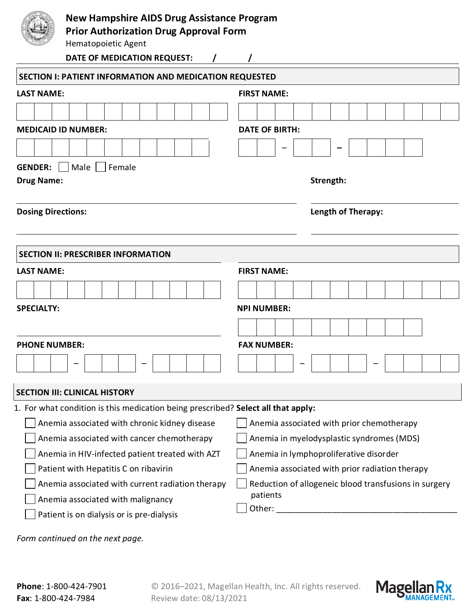

## **New Hampshire AIDS Drug Assistance Program**

**Prior Authorization Drug Approval Form**

| Hematopoietic Agent                                                                        |                                           |  |  |  |  |  |  |
|--------------------------------------------------------------------------------------------|-------------------------------------------|--|--|--|--|--|--|
| DATE OF MEDICATION REQUEST:<br>$\prime$                                                    |                                           |  |  |  |  |  |  |
| <b>SECTION I: PATIENT INFORMATION AND MEDICATION REQUESTED</b>                             |                                           |  |  |  |  |  |  |
| <b>LAST NAME:</b>                                                                          | <b>FIRST NAME:</b>                        |  |  |  |  |  |  |
|                                                                                            |                                           |  |  |  |  |  |  |
| <b>MEDICAID ID NUMBER:</b>                                                                 | <b>DATE OF BIRTH:</b>                     |  |  |  |  |  |  |
|                                                                                            |                                           |  |  |  |  |  |  |
| Male<br><b>GENDER:</b><br>Female                                                           |                                           |  |  |  |  |  |  |
| <b>Drug Name:</b>                                                                          | Strength:                                 |  |  |  |  |  |  |
| <b>Dosing Directions:</b>                                                                  | Length of Therapy:                        |  |  |  |  |  |  |
| <b>SECTION II: PRESCRIBER INFORMATION</b>                                                  |                                           |  |  |  |  |  |  |
| <b>LAST NAME:</b>                                                                          | <b>FIRST NAME:</b>                        |  |  |  |  |  |  |
|                                                                                            |                                           |  |  |  |  |  |  |
| <b>SPECIALTY:</b>                                                                          | <b>NPI NUMBER:</b>                        |  |  |  |  |  |  |
|                                                                                            |                                           |  |  |  |  |  |  |
| <b>PHONE NUMBER:</b>                                                                       | <b>FAX NUMBER:</b>                        |  |  |  |  |  |  |
|                                                                                            |                                           |  |  |  |  |  |  |
| <b>SECTION III: CLINICAL HISTORY</b>                                                       |                                           |  |  |  |  |  |  |
| 1. For what condition is this medication being prescribed? Select all that apply:          |                                           |  |  |  |  |  |  |
| Anemia associated with chronic kidney disease<br>Anemia associated with prior chemotherapy |                                           |  |  |  |  |  |  |
| Anemia associated with cancer chemotherapy                                                 | Anemia in myelodysplastic syndromes (MDS) |  |  |  |  |  |  |
| Anemia in HIV-infected patient treated with AZT                                            | Anemia in lymphoproliferative disorder    |  |  |  |  |  |  |

Anemia associated with prior radiation therapy

Reduction of allogeneic blood transfusions in surgery patients

 $\Box$  Other:

Patient is on dialysis or is pre-dialysis

Anemia associated with malignancy

Patient with Hepatitis C on ribavirin

 $\Box$  Anemia associated with current radiation therapy

*Form continued on the next page.*